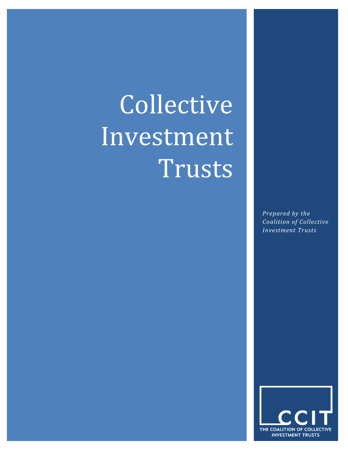# Collective Investment Trusts

*Prepared by the Coalition of Collective Investment Trusts*

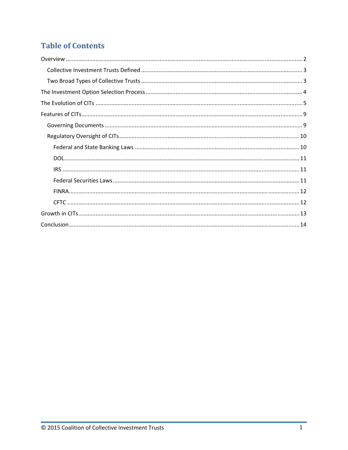# **Table of Contents**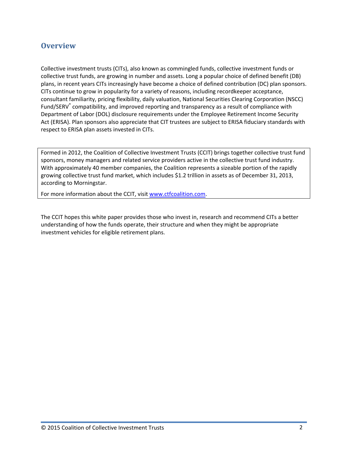## **Overview**

Collective investment trusts (CITs), also known as commingled funds, collective investment funds or collective trust funds, are growing in number and assets. Long a popular choice of defined benefit (DB) plans, in recent years CITs increasingly have become a choice of defined contribution (DC) plan sponsors. CITs continue to grow in popularity for a variety of reasons, including recordkeeper acceptance, consultant familiarity, pricing flexibility, daily valuation, National Securities Clearing Corporation (NSCC) Fund/SERV<sup>®</sup> compatibility, and improved reporting and transparency as a result of compliance with Department of Labor (DOL) disclosure requirements under the Employee Retirement Income Security Act (ERISA). Plan sponsors also appreciate that CIT trustees are subject to ERISA fiduciary standards with respect to ERISA plan assets invested in CITs.

Formed in 2012, the Coalition of Collective Investment Trusts (CCIT) brings together collective trust fund sponsors, money managers and related service providers active in the collective trust fund industry. With approximately 40 member companies, the Coalition represents a sizeable portion of the rapidly growing collective trust fund market, which includes \$1.2 trillion in assets as of December 31, 2013, according to Morningstar.

For more information about the CCIT, visit www.ctfcoalition.com.

The CCIT hopes this white paper provides those who invest in, research and recommend CITs a better understanding of how the funds operate, their structure and when they might be appropriate investment vehicles for eligible retirement plans.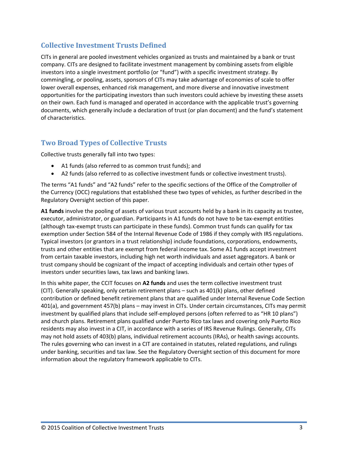## **Collective Investment Trusts Defined**

CITs in general are pooled investment vehicles organized as trusts and maintained by a bank or trust company. CITs are designed to facilitate investment management by combining assets from eligible investors into a single investment portfolio (or "fund") with a specific investment strategy. By commingling, or pooling, assets, sponsors of CITs may take advantage of economies of scale to offer lower overall expenses, enhanced risk management, and more diverse and innovative investment opportunities for the participating investors than such investors could achieve by investing these assets on their own. Each fund is managed and operated in accordance with the applicable trust's governing documents, which generally include a declaration of trust (or plan document) and the fund's statement of characteristics.

## **Two Broad Types of Collective Trusts**

Collective trusts generally fall into two types:

- A1 funds (also referred to as common trust funds); and
- A2 funds (also referred to as collective investment funds or collective investment trusts).

The terms "A1 funds" and "A2 funds" refer to the specific sections of the Office of the Comptroller of the Currency (OCC) regulations that established these two types of vehicles, as further described in the Regulatory Oversight section of this paper.

**A1 funds** involve the pooling of assets of various trust accounts held by a bank in its capacity as trustee, executor, administrator, or guardian. Participants in A1 funds do not have to be tax-exempt entities (although tax‐exempt trusts can participate in these funds). Common trust funds can qualify for tax exemption under Section 584 of the Internal Revenue Code of 1986 if they comply with IRS regulations. Typical investors (or grantors in a trust relationship) include foundations, corporations, endowments, trusts and other entities that are exempt from federal income tax. Some A1 funds accept investment from certain taxable investors, including high net worth individuals and asset aggregators. A bank or trust company should be cognizant of the impact of accepting individuals and certain other types of investors under securities laws, tax laws and banking laws.

In this white paper, the CCIT focuses on **A2 funds** and uses the term collective investment trust (CIT). Generally speaking, only certain retirement plans – such as 401(k) plans, other defined contribution or defined benefit retirement plans that are qualified under Internal Revenue Code Section 401(a), and government 457(b) plans – may invest in CITs. Under certain circumstances, CITs may permit investment by qualified plans that include self-employed persons (often referred to as "HR 10 plans") and church plans. Retirement plans qualified under Puerto Rico tax laws and covering only Puerto Rico residents may also invest in a CIT, in accordance with a series of IRS Revenue Rulings. Generally, CITs may not hold assets of 403(b) plans, individual retirement accounts (IRAs), or health savings accounts. The rules governing who can invest in a CIT are contained in statutes, related regulations, and rulings under banking, securities and tax law. See the Regulatory Oversight section of this document for more information about the regulatory framework applicable to CITs.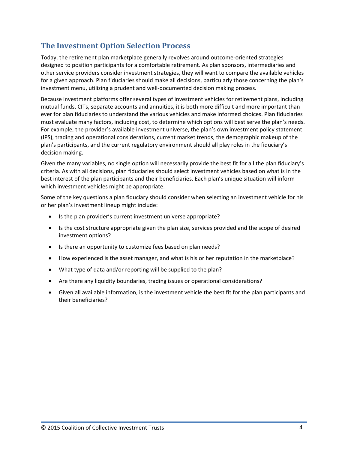## **The Investment Option Selection Process**

Today, the retirement plan marketplace generally revolves around outcome‐oriented strategies designed to position participants for a comfortable retirement. As plan sponsors, intermediaries and other service providers consider investment strategies, they will want to compare the available vehicles for a given approach. Plan fiduciaries should make all decisions, particularly those concerning the plan's investment menu, utilizing a prudent and well‐documented decision making process.

Because investment platforms offer several types of investment vehicles for retirement plans, including mutual funds, CITs, separate accounts and annuities, it is both more difficult and more important than ever for plan fiduciaries to understand the various vehicles and make informed choices. Plan fiduciaries must evaluate many factors, including cost, to determine which options will best serve the plan's needs. For example, the provider's available investment universe, the plan's own investment policy statement (IPS), trading and operational considerations, current market trends, the demographic makeup of the plan's participants, and the current regulatory environment should all play roles in the fiduciary's decision making.

Given the many variables, no single option will necessarily provide the best fit for all the plan fiduciary's criteria. As with all decisions, plan fiduciaries should select investment vehicles based on what is in the best interest of the plan participants and their beneficiaries. Each plan's unique situation will inform which investment vehicles might be appropriate.

Some of the key questions a plan fiduciary should consider when selecting an investment vehicle for his or her plan's investment lineup might include:

- Is the plan provider's current investment universe appropriate?
- Is the cost structure appropriate given the plan size, services provided and the scope of desired investment options?
- Is there an opportunity to customize fees based on plan needs?
- How experienced is the asset manager, and what is his or her reputation in the marketplace?
- What type of data and/or reporting will be supplied to the plan?
- Are there any liquidity boundaries, trading issues or operational considerations?
- Given all available information, is the investment vehicle the best fit for the plan participants and their beneficiaries?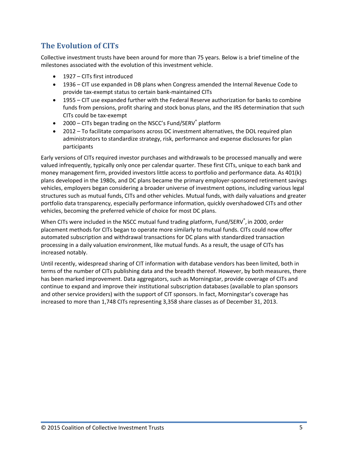# **The Evolution of CITs**

Collective investment trusts have been around for more than 75 years. Below is a brief timeline of the milestones associated with the evolution of this investment vehicle.

- 1927 CITs first introduced
- 1936 CIT use expanded in DB plans when Congress amended the Internal Revenue Code to provide tax‐exempt status to certain bank‐maintained CITs
- 1955 CIT use expanded further with the Federal Reserve authorization for banks to combine funds from pensions, profit sharing and stock bonus plans, and the IRS determination that such CITs could be tax‐exempt
- 2000 CITs began trading on the NSCC's Fund/SERV<sup>®</sup> platform
- 2012 To facilitate comparisons across DC investment alternatives, the DOL required plan administrators to standardize strategy, risk, performance and expense disclosures for plan participants

Early versions of CITs required investor purchases and withdrawals to be processed manually and were valued infrequently, typically only once per calendar quarter. These first CITs, unique to each bank and money management firm, provided investors little access to portfolio and performance data. As 401(k) plans developed in the 1980s, and DC plans became the primary employer‐sponsored retirement savings vehicles, employers began considering a broader universe of investment options, including various legal structures such as mutual funds, CITs and other vehicles. Mutual funds, with daily valuations and greater portfolio data transparency, especially performance information, quickly overshadowed CITs and other vehicles, becoming the preferred vehicle of choice for most DC plans.

When CITs were included in the NSCC mutual fund trading platform, Fund/SERV®, in 2000, order placement methods for CITs began to operate more similarly to mutual funds. CITs could now offer automated subscription and withdrawal transactions for DC plans with standardized transaction processing in a daily valuation environment, like mutual funds. As a result, the usage of CITs has increased notably.

Until recently, widespread sharing of CIT information with database vendors has been limited, both in terms of the number of CITs publishing data and the breadth thereof. However, by both measures, there has been marked improvement. Data aggregators, such as Morningstar, provide coverage of CITs and continue to expand and improve their institutional subscription databases (available to plan sponsors and other service providers) with the support of CIT sponsors. In fact, Morningstar's coverage has increased to more than 1,748 CITs representing 3,358 share classes as of December 31, 2013.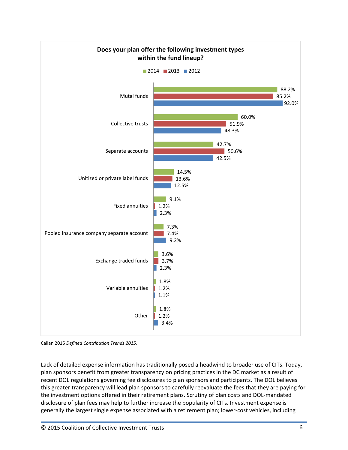

Callan 2015 *Defined Contribution Trends 2015.*

Lack of detailed expense information has traditionally posed a headwind to broader use of CITs. Today, plan sponsors benefit from greater transparency on pricing practices in the DC market as a result of recent DOL regulations governing fee disclosures to plan sponsors and participants. The DOL believes this greater transparency will lead plan sponsors to carefully reevaluate the fees that they are paying for the investment options offered in their retirement plans. Scrutiny of plan costs and DOL‐mandated disclosure of plan fees may help to further increase the popularity of CITs. Investment expense is generally the largest single expense associated with a retirement plan; lower-cost vehicles, including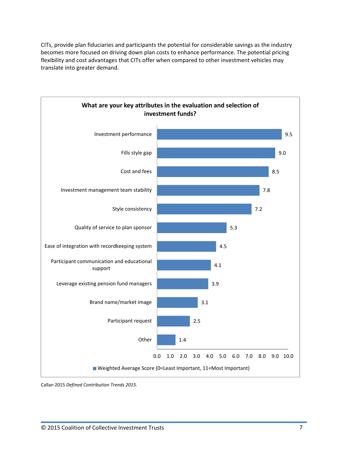CITs, provide plan fiduciaries and participants the potential for considerable savings as the industry becomes more focused on driving down plan costs to enhance performance. The potential pricing flexibility and cost advantages that CITs offer when compared to other investment vehicles may translate into greater demand.



Callan 2015 *Defined Contribution Trends 2015.*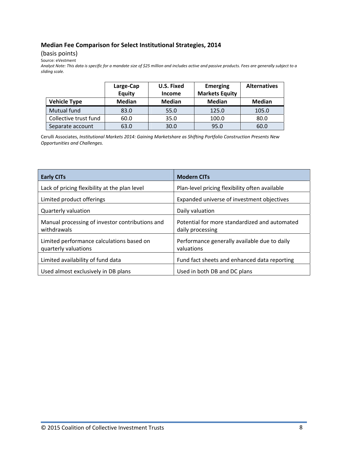### **Median Fee Comparison for Select Institutional Strategies, 2014**

(basis points)

Source: eVestment

Analyst Note: This data is specific for a mandate size of \$25 million and includes active and passive products. Fees are generally subject to a *sliding scale.*

|                       | Large-Cap<br>Equity | U.S. Fixed<br><b>Income</b> | <b>Emerging</b><br><b>Markets Equity</b> | <b>Alternatives</b> |
|-----------------------|---------------------|-----------------------------|------------------------------------------|---------------------|
| <b>Vehicle Type</b>   | <b>Median</b>       | <b>Median</b>               | <b>Median</b>                            | <b>Median</b>       |
| Mutual fund           | 83.0                | 55.0                        | 125.0                                    | 105.0               |
| Collective trust fund | 60.0                | 35.0                        | 100.0                                    | 80.0                |
| Separate account      | 63.0                | 30.0                        | 95.0                                     | 60.0                |

Cerulli Associates, *Institutional Markets 2014: Gaining Marketshare as Shifting Portfolio Construction Presents New Opportunities and Challenges.*

| <b>Early CITs</b>                                                 | <b>Modern CITs</b>                                                |
|-------------------------------------------------------------------|-------------------------------------------------------------------|
| Lack of pricing flexibility at the plan level                     | Plan-level pricing flexibility often available                    |
| Limited product offerings                                         | Expanded universe of investment objectives                        |
| Quarterly valuation                                               | Daily valuation                                                   |
| Manual processing of investor contributions and<br>withdrawals    | Potential for more standardized and automated<br>daily processing |
| Limited performance calculations based on<br>quarterly valuations | Performance generally available due to daily<br>valuations        |
| Limited availability of fund data                                 | Fund fact sheets and enhanced data reporting                      |
| Used almost exclusively in DB plans                               | Used in both DB and DC plans                                      |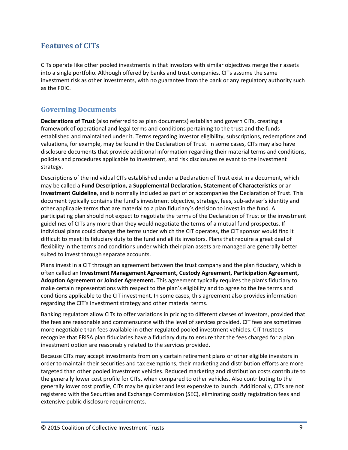## **Features of CITs**

CITs operate like other pooled investments in that investors with similar objectives merge their assets into a single portfolio. Although offered by banks and trust companies, CITs assume the same investment risk as other investments, with no guarantee from the bank or any regulatory authority such as the FDIC.

### **Governing Documents**

**Declarations of Trust** (also referred to as plan documents) establish and govern CITs, creating a framework of operational and legal terms and conditions pertaining to the trust and the funds established and maintained under it. Terms regarding investor eligibility, subscriptions, redemptions and valuations, for example, may be found in the Declaration of Trust. In some cases, CITs may also have disclosure documents that provide additional information regarding their material terms and conditions, policies and procedures applicable to investment, and risk disclosures relevant to the investment strategy.

Descriptions of the individual CITs established under a Declaration of Trust exist in a document, which may be called a **Fund Description, a Supplemental Declaration, Statement of Characteristics** or an **Investment Guideline**, and is normally included as part of or accompanies the Declaration of Trust. This document typically contains the fund's investment objective, strategy, fees, sub‐adviser's identity and other applicable terms that are material to a plan fiduciary's decision to invest in the fund. A participating plan should not expect to negotiate the terms of the Declaration of Trust or the investment guidelines of CITs any more than they would negotiate the terms of a mutual fund prospectus. If individual plans could change the terms under which the CIT operates, the CIT sponsor would find it difficult to meet its fiduciary duty to the fund and all its investors. Plans that require a great deal of flexibility in the terms and conditions under which their plan assets are managed are generally better suited to invest through separate accounts.

Plans invest in a CIT through an agreement between the trust company and the plan fiduciary, which is often called an **Investment Management Agreement, Custody Agreement, Participation Agreement, Adoption Agreement or Joinder Agreement.** This agreement typically requires the plan's fiduciary to make certain representations with respect to the plan's eligibility and to agree to the fee terms and conditions applicable to the CIT investment. In some cases, this agreement also provides information regarding the CIT's investment strategy and other material terms.

Banking regulators allow CITs to offer variations in pricing to different classes of investors, provided that the fees are reasonable and commensurate with the level of services provided. CIT fees are sometimes more negotiable than fees available in other regulated pooled investment vehicles. CIT trustees recognize that ERISA plan fiduciaries have a fiduciary duty to ensure that the fees charged for a plan investment option are reasonably related to the services provided.

Because CITs may accept investments from only certain retirement plans or other eligible investors in order to maintain their securities and tax exemptions, their marketing and distribution efforts are more targeted than other pooled investment vehicles. Reduced marketing and distribution costs contribute to the generally lower cost profile for CITs, when compared to other vehicles. Also contributing to the generally lower cost profile, CITs may be quicker and less expensive to launch. Additionally, CITs are not registered with the Securities and Exchange Commission (SEC), eliminating costly registration fees and extensive public disclosure requirements.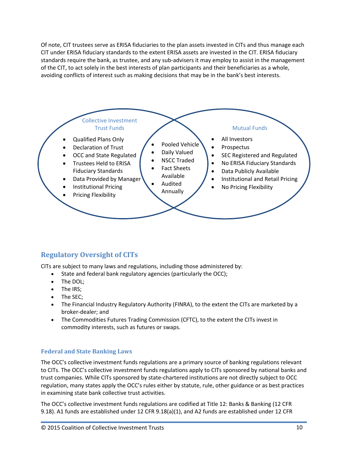Of note, CIT trustees serve as ERISA fiduciaries to the plan assets invested in CITs and thus manage each CIT under ERISA fiduciary standards to the extent ERISA assets are invested in the CIT. ERISA fiduciary standards require the bank, as trustee, and any sub‐advisers it may employ to assist in the management of the CIT, to act solely in the best interests of plan participants and their beneficiaries as a whole, avoiding conflicts of interest such as making decisions that may be in the bank's best interests.



## **Regulatory Oversight of CITs**

CITs are subject to many laws and regulations, including those administered by:

- State and federal bank regulatory agencies (particularly the OCC);
- The DOL;
- The IRS;
- The SEC;
- The Financial Industry Regulatory Authority (FINRA), to the extent the CITs are marketed by a broker‐dealer; and
- The Commodities Futures Trading Commission (CFTC), to the extent the CITs invest in commodity interests, such as futures or swaps.

#### **Federal and State Banking Laws**

The OCC's collective investment funds regulations are a primary source of banking regulations relevant to CITs. The OCC's collective investment funds regulations apply to CITs sponsored by national banks and trust companies. While CITs sponsored by state‐chartered institutions are not directly subject to OCC regulation, many states apply the OCC's rules either by statute, rule, other guidance or as best practices in examining state bank collective trust activities.

The OCC's collective investment funds regulations are codified at Title 12: Banks & Banking (12 CFR 9.18). A1 funds are established under 12 CFR 9.18(a)(1), and A2 funds are established under 12 CFR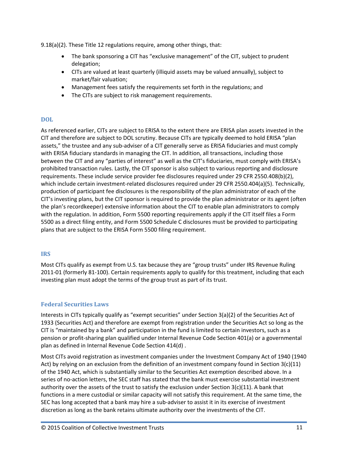9.18(a)(2). These Title 12 regulations require, among other things, that:

- The bank sponsoring a CIT has "exclusive management" of the CIT, subject to prudent delegation;
- CITs are valued at least quarterly (illiquid assets may be valued annually), subject to market/fair valuation;
- Management fees satisfy the requirements set forth in the regulations; and
- The CITs are subject to risk management requirements.

#### **DOL**

As referenced earlier, CITs are subject to ERISA to the extent there are ERISA plan assets invested in the CIT and therefore are subject to DOL scrutiny. Because CITs are typically deemed to hold ERISA "plan assets," the trustee and any sub‐adviser of a CIT generally serve as ERISA fiduciaries and must comply with ERISA fiduciary standards in managing the CIT. In addition, all transactions, including those between the CIT and any "parties of interest" as well as the CIT's fiduciaries, must comply with ERISA's prohibited transaction rules. Lastly, the CIT sponsor is also subject to various reporting and disclosure requirements. These include service provider fee disclosures required under 29 CFR 2550.408(b)(2), which include certain investment-related disclosures required under 29 CFR 2550.404(a)(5). Technically, production of participant fee disclosures is the responsibility of the plan administrator of each of the CIT's investing plans, but the CIT sponsor is required to provide the plan administrator or its agent (often the plan's recordkeeper) extensive information about the CIT to enable plan administrators to comply with the regulation. In addition, Form 5500 reporting requirements apply if the CIT itself files a Form 5500 as a direct filing entity, and Form 5500 Schedule C disclosures must be provided to participating plans that are subject to the ERISA Form 5500 filing requirement.

#### **IRS**

Most CITs qualify as exempt from U.S. tax because they are "group trusts" under IRS Revenue Ruling 2011-01 (formerly 81-100). Certain requirements apply to qualify for this treatment, including that each investing plan must adopt the terms of the group trust as part of its trust.

#### **Federal Securities Laws**

Interests in CITs typically qualify as "exempt securities" under Section 3(a)(2) of the Securities Act of 1933 (Securities Act) and therefore are exempt from registration under the Securities Act so long as the CIT is "maintained by a bank" and participation in the fund is limited to certain investors, such as a pension or profit‐sharing plan qualified under Internal Revenue Code Section 401(a) or a governmental plan as defined in Internal Revenue Code Section 414(d) .

Most CITs avoid registration as investment companies under the Investment Company Act of 1940 (1940 Act) by relying on an exclusion from the definition of an investment company found in Section 3(c)(11) of the 1940 Act, which is substantially similar to the Securities Act exemption described above. In a series of no-action letters, the SEC staff has stated that the bank must exercise substantial investment authority over the assets of the trust to satisfy the exclusion under Section  $3(c)(11)$ . A bank that functions in a mere custodial or similar capacity will not satisfy this requirement. At the same time, the SEC has long accepted that a bank may hire a sub‐adviser to assist it in its exercise of investment discretion as long as the bank retains ultimate authority over the investments of the CIT.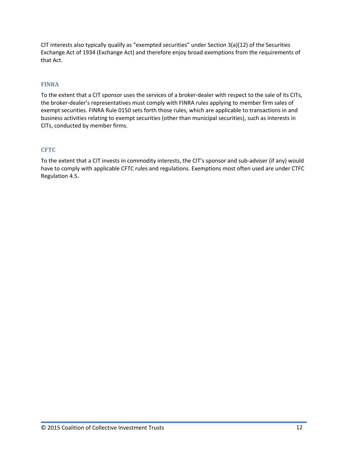CIT interests also typically qualify as "exempted securities" under Section 3(a)(12) of the Securities Exchange Act of 1934 (Exchange Act) and therefore enjoy broad exemptions from the requirements of that Act.

#### **FINRA**

To the extent that a CIT sponsor uses the services of a broker‐dealer with respect to the sale of its CITs, the broker‐dealer's representatives must comply with FINRA rules applying to member firm sales of exempt securities. FINRA Rule 0150 sets forth those rules, which are applicable to transactions in and business activities relating to exempt securities (other than municipal securities), such as interests in CITs, conducted by member firms.

#### **CFTC**

To the extent that a CIT invests in commodity interests, the CIT's sponsor and sub-adviser (if any) would have to comply with applicable CFTC rules and regulations. Exemptions most often used are under CTFC Regulation 4.5.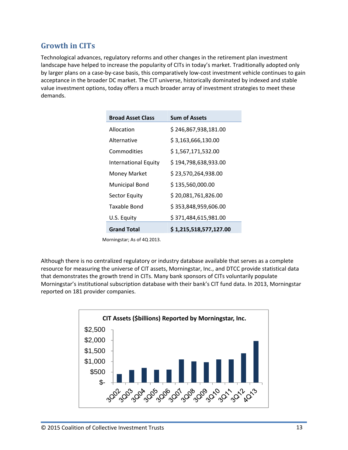# **Growth in CITs**

Technological advances, regulatory reforms and other changes in the retirement plan investment landscape have helped to increase the popularity of CITs in today's market. Traditionally adopted only by larger plans on a case‐by‐case basis, this comparatively low‐cost investment vehicle continues to gain acceptance in the broader DC market. The CIT universe, historically dominated by indexed and stable value investment options, today offers a much broader array of investment strategies to meet these demands.

| <b>Broad Asset Class</b>    | <b>Sum of Assets</b>   |
|-----------------------------|------------------------|
| Allocation                  | \$246,867,938,181.00   |
| Alternative                 | \$3,163,666,130.00     |
| Commodities                 | \$1,567,171,532.00     |
| <b>International Equity</b> | \$194,798,638,933.00   |
| <b>Money Market</b>         | \$23,570,264,938.00    |
| <b>Municipal Bond</b>       | \$135,560,000.00       |
| <b>Sector Equity</b>        | \$20,081,761,826.00    |
| Taxable Bond                | \$353,848,959,606.00   |
| U.S. Equity                 | \$371,484,615,981.00   |
| <b>Grand Total</b>          | \$1,215,518,577,127.00 |

Morningstar; As of 4Q 2013.

Although there is no centralized regulatory or industry database available that serves as a complete resource for measuring the universe of CIT assets, Morningstar, Inc., and DTCC provide statistical data that demonstrates the growth trend in CITs. Many bank sponsors of CITs voluntarily populate Morningstar's institutional subscription database with their bank's CIT fund data. In 2013, Morningstar reported on 181 provider companies.